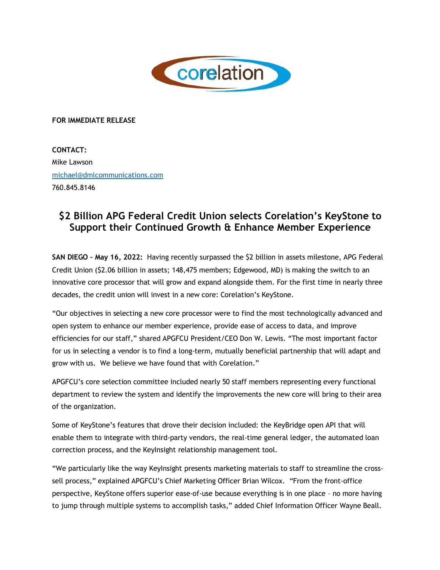

## **FOR IMMEDIATE RELEASE**

**CONTACT:** Mike Lawson michael@dmlcommunications.com 760.845.8146

## **\$2 Billion APG Federal Credit Union selects Corelation's KeyStone to Support their Continued Growth & Enhance Member Experience**

**SAN DIEGO – May 16, 2022:** Having recently surpassed the \$2 billion in assets milestone, APG Federal Credit Union (\$2.06 billion in assets; 148,475 members; Edgewood, MD) is making the switch to an innovative core processor that will grow and expand alongside them. For the first time in nearly three decades, the credit union will invest in a new core: Corelation's KeyStone.

"Our objectives in selecting a new core processor were to find the most technologically advanced and open system to enhance our member experience, provide ease of access to data, and improve efficiencies for our staff," shared APGFCU President/CEO Don W. Lewis. "The most important factor for us in selecting a vendor is to find a long-term, mutually beneficial partnership that will adapt and grow with us. We believe we have found that with Corelation."

APGFCU's core selection committee included nearly 50 staff members representing every functional department to review the system and identify the improvements the new core will bring to their area of the organization.

Some of KeyStone's features that drove their decision included: the KeyBridge open API that will enable them to integrate with third-party vendors, the real-time general ledger, the automated loan correction process, and the KeyInsight relationship management tool.

"We particularly like the way KeyInsight presents marketing materials to staff to streamline the crosssell process," explained APGFCU's Chief Marketing Officer Brian Wilcox. "From the front-office perspective, KeyStone offers superior ease-of-use because everything is in one place – no more having to jump through multiple systems to accomplish tasks," added Chief Information Officer Wayne Beall.